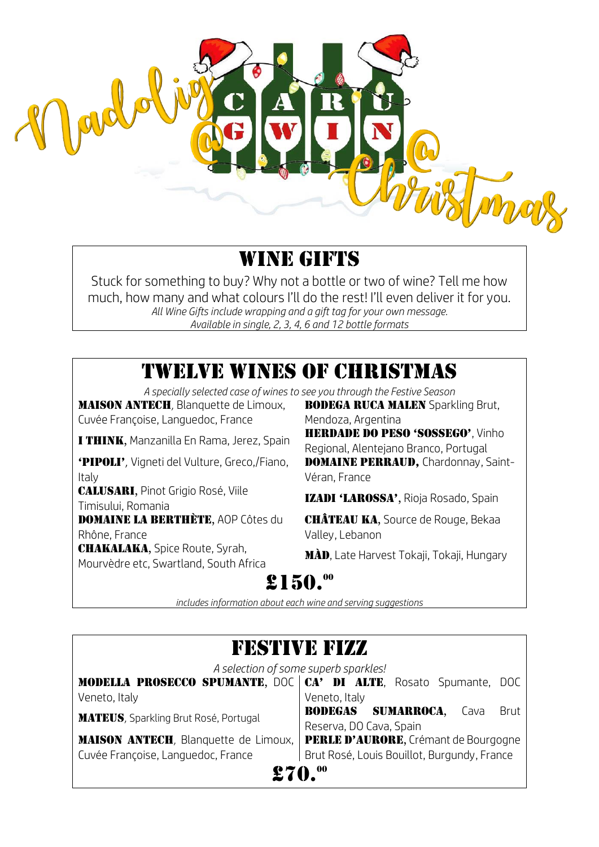

### WINE GIFTS

Stuck for something to buy? Why not a bottle or two of wine? Tell me how much, how many and what colours I'll do the rest! I'll even deliver it for you. *All Wine Gifts include wrapping and a gift tag for your own message. Available in single, 2, 3, 4, 6 and 12 bottle formats*

### TWELVE WINES OF CHRISTMAS

*A specially selected case of wines to see you through the Festive Season*

**MAISON ANTECH**, Blanquette de Limoux, Cuvée Françoise, Languedoc, France

'PiPoli', Vigneti del Vulture, Greco,/Fiano, Italy

Calusari, Pinot Grigio Rosé, Viile **TALOSANI, Finot drigio Rose, Ville III izadi 'LAROSSA',** Rioja Rosado, Spain<br>Timisului, Romania

**DOMAINE LA BERTHÈTE, AOP Côtes du** Rhône, France

**CHAKALAKA, Spice Route, Syrah, MAD, Late Harvest Tokaji, Tokaji, Hungary**<br>Mourvèdre etc, Swartland, South Africa

**BODEGA RUCA MALEN Sparkling Brut,** Mendoza, Argentina

I THINK, Manzanilla En Rama, Jerez, Spain HERDADE DO PESO 'SOSSEGO', Vinho Regional, Alentejano Branco, Portugal DOMAINE PERRAUD, Chardonnay, Saint-Véran, France

CHÂTEAU KA, Source de Rouge, Bekaa Valley, Lebanon

# $$150.<sup>00</sup>$

*includes information about each wine and serving suggestions*

#### Festive fizz *A selection of some superb sparkles!* MODELLA PROSECCO SPUMANTE, DOC | CA' DI ALTE, Rosato Spumante, DOC Veneto, Italy Veneto, Italy MATEUS, Sparkling Brut Rosé, Portugal BODEGAS SUMARROCA, Cava Brut Reserva, DO Cava, Spain **MAISON ANTECH**. Blanquette de Limoux, Cuvée Françoise, Languedoc, France PERLE D'AURORE, Crémant de Bourgogne Brut Rosé, Louis Bouillot, Burgundy, France £70.